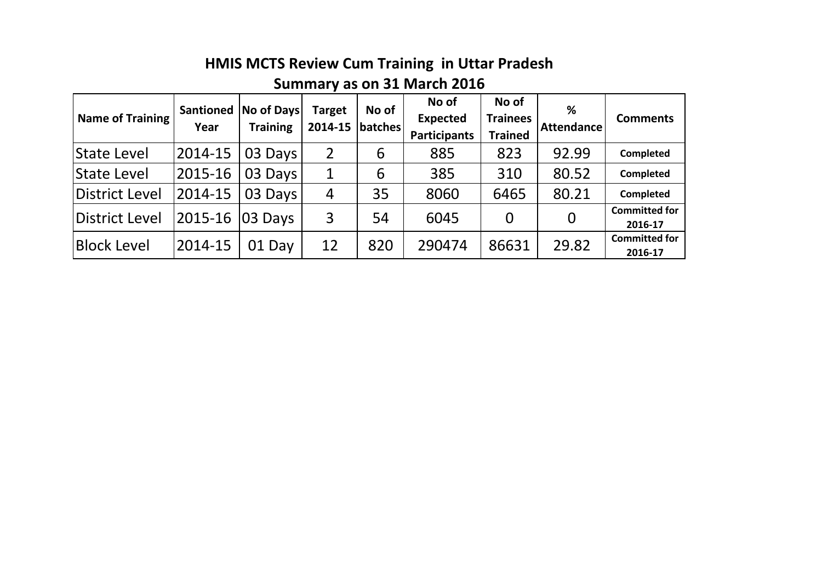# **HMIS MCTS Review Cum Training in Uttar Pradesh**

## **Summary as on 31 March 2016**

| <b>Name of Training</b> | <b>Santioned</b><br>Year | No of Days<br><b>Training</b> | <b>Target</b><br>2014-15 | No of<br> batches | No of<br><b>Expected</b><br><b>Participants</b> | No of<br><b>Trainees</b><br><b>Trained</b> | %<br>Attendance | <b>Comments</b>                 |
|-------------------------|--------------------------|-------------------------------|--------------------------|-------------------|-------------------------------------------------|--------------------------------------------|-----------------|---------------------------------|
| <b>State Level</b>      | 2014-15                  | 03 Days                       | 2                        | 6                 | 885                                             | 823                                        | 92.99           | Completed                       |
| <b>State Level</b>      | 2015-16                  | 03 Days                       | 1                        | 6                 | 385                                             | 310                                        | 80.52           | <b>Completed</b>                |
| District Level          | 2014-15                  | 03 Days                       | $\overline{4}$           | 35                | 8060                                            | 6465                                       | 80.21           | Completed                       |
| District Level          | 2015-16                  | <b>03 Days</b>                | 3                        | 54                | 6045                                            | $\overline{0}$                             |                 | <b>Committed for</b><br>2016-17 |
| <b>Block Level</b>      | 2014-15                  | 01 Day                        | 12                       | 820               | 290474                                          | 86631                                      | 29.82           | <b>Committed for</b><br>2016-17 |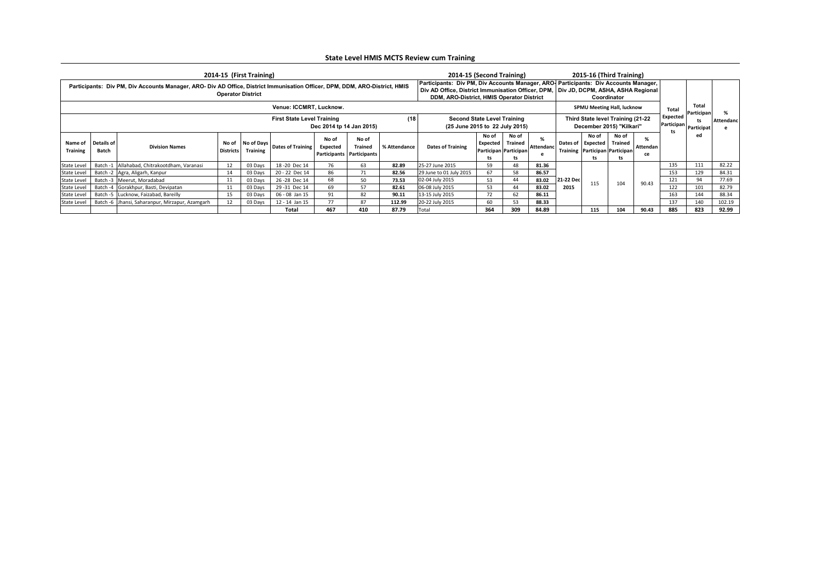|                            |                     |                                                                                                                             |                          | 2014-15 (First Training)       |                                    |                   |                                                                                                                                                                                                                            |              | 2014-15 (Second Training) |                                                               |             |                        |                  |                                                               | 2015-16 (Third Training)          |                |              |                            |        |
|----------------------------|---------------------|-----------------------------------------------------------------------------------------------------------------------------|--------------------------|--------------------------------|------------------------------------|-------------------|----------------------------------------------------------------------------------------------------------------------------------------------------------------------------------------------------------------------------|--------------|---------------------------|---------------------------------------------------------------|-------------|------------------------|------------------|---------------------------------------------------------------|-----------------------------------|----------------|--------------|----------------------------|--------|
|                            |                     | Participants: Div PM, Div Accounts Manager, ARO- Div AD Office, District Immunisation Officer, DPM, DDM, ARO-District, HMIS | <b>Operator District</b> |                                |                                    |                   | Participants: Div PM, Div Accounts Manager, ARO   Participants: Div Accounts Manager,<br>Div AD Office, District Immunisation Officer, DPM, Div JD, DCPM, ASHA, ASHA Regional<br>DDM, ARO-District, HMIS Operator District |              |                           |                                                               |             |                        | Coordinator      |                                                               |                                   |                |              |                            |        |
|                            |                     |                                                                                                                             |                          |                                | Venue: ICCMRT, Lucknow.            |                   |                                                                                                                                                                                                                            |              |                           |                                                               |             |                        |                  |                                                               | <b>SPMU Meeting Hall, lucknow</b> |                | <b>Total</b> | <b>Total</b><br>Participan |        |
|                            |                     |                                                                                                                             | (18)                     | (25 June 2015 to 22 July 2015) | <b>Second State Level Training</b> |                   |                                                                                                                                                                                                                            |              |                           | Third State level Training (21-22<br>December 2015) "Kilkari" |             | Expected<br>Participan | ts<br>Participat | \ttendanc                                                     |                                   |                |              |                            |        |
| Name of<br><b>Training</b> | Details of<br>Batch | <b>Division Names</b>                                                                                                       | No of<br>Districts       | No of Days<br><b>Training</b>  | Dates of Training                  | No of<br>Expected | No of<br><b>Trained</b><br>Participants   Participants                                                                                                                                                                     | % Attendance | <b>Dates of Training</b>  | No of<br>Expected   Trained<br>Participan   Participan<br>ts  | No of<br>ts | Attendanc              | Dates of         | No of<br>Expected<br>Training   Participan   Participan<br>ts | No of<br><b>Trained</b><br>ts     | Attendan<br>ce | ts           | ed                         |        |
| State Level                |                     | Batch -1 Allahabad, Chitrakootdham, Varanasi                                                                                |                          | 03 Days                        | 18 - 20 Dec 14                     | 76                | 63                                                                                                                                                                                                                         | 82.89        | 25-27 June 2015           | 59                                                            | 48          | 81.36                  |                  |                                                               |                                   |                | 135          | 111                        | 82.22  |
| State Level                |                     | Batch -2   Agra, Aligarh, Kanpur                                                                                            |                          | 03 Days                        | 20 - 22 Dec 14                     | 86                | 71                                                                                                                                                                                                                         | 82.56        | 29 June to 01 July 2015   | 67                                                            | 58          | 86.57                  |                  |                                                               |                                   |                | 153          | 129                        | 84.31  |
| State Level                |                     | Batch -3   Meerut, Moradabad                                                                                                |                          | 03 Days                        | 26 - 28 Dec 14                     | 68                | 50                                                                                                                                                                                                                         | 73.53        | 02-04 July 2015           | 53                                                            | 44          | 83.02                  | 21-22 Dec        | 115                                                           | 104                               | 90.43          | 121          | 94                         | 77.69  |
| State Level                |                     | Batch -4 Gorakhpur, Basti, Devipatan                                                                                        |                          | 03 Days                        | 29 - 31 Dec 14                     | 69                | 57                                                                                                                                                                                                                         | 82.61        | 06-08 July 2015           | 53                                                            | 44          | 83.02                  | 2015             |                                                               |                                   |                | 122          | 101                        | 82.79  |
| State Level                |                     | Batch -5 Lucknow, Faizabad, Bareilly                                                                                        |                          | 03 Days                        | 06 - 08 Jan 15                     | 91                | 82                                                                                                                                                                                                                         | 90.11        | 13-15 July 2015           | 72                                                            | 62          | 86.11                  |                  |                                                               |                                   |                | 163          | 144                        | 88.34  |
| State Level                |                     | Batch -6 Jhansi, Saharanpur, Mirzapur, Azamgarh                                                                             |                          | 03 Days                        | 12 - 14 Jan 15                     | 77                | 87                                                                                                                                                                                                                         | 112.99       | 20-22 July 2015           | 60                                                            | 53          | 88.33                  |                  |                                                               |                                   |                | 137          | 140                        | 102.19 |
|                            |                     |                                                                                                                             |                          |                                | <b>Total</b>                       | 467               | 410                                                                                                                                                                                                                        | 87.79        | Total                     | 364                                                           | 309         | 84.89                  |                  | 115                                                           | 104                               | 90.43          | 885          | 823                        | 92.99  |

## **State Level HMIS MCTS Review cum Training**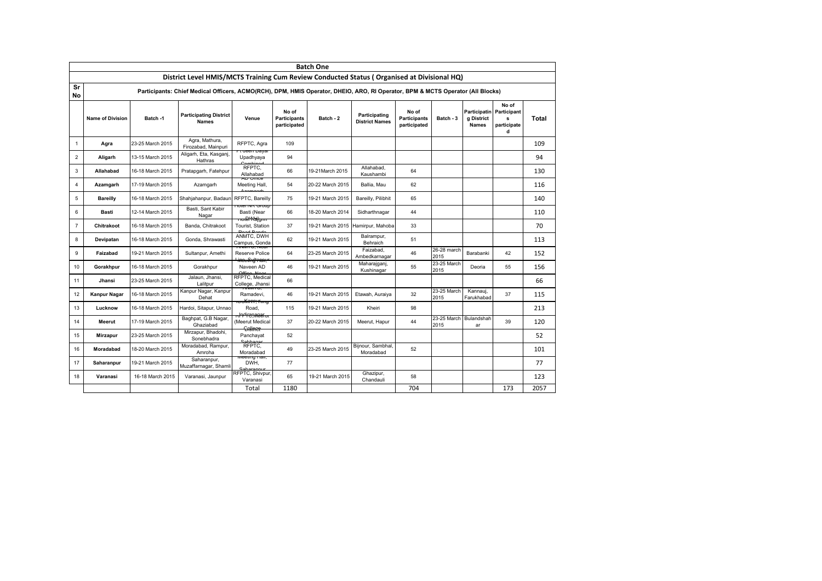|          | <b>Batch One</b>        |                  |                                                                                                                                |                                                                       |                                              |                  |                                        |                                              |                                |                                                        |                                |              |  |  |
|----------|-------------------------|------------------|--------------------------------------------------------------------------------------------------------------------------------|-----------------------------------------------------------------------|----------------------------------------------|------------------|----------------------------------------|----------------------------------------------|--------------------------------|--------------------------------------------------------|--------------------------------|--------------|--|--|
|          |                         |                  | District Level HMIS/MCTS Training Cum Review Conducted Status (Organised at Divisional HQ)                                     |                                                                       |                                              |                  |                                        |                                              |                                |                                                        |                                |              |  |  |
| Sr<br>No |                         |                  | Participants: Chief Medical Officers, ACMO(RCH), DPM, HMIS Operator, DHEIO, ARO, RI Operator, BPM & MCTS Operator (All Blocks) |                                                                       |                                              |                  |                                        |                                              |                                |                                                        |                                |              |  |  |
|          | <b>Name of Division</b> | Batch -1         | <b>Participating District</b><br><b>Names</b>                                                                                  | Venue                                                                 | No of<br><b>Participants</b><br>participated | Batch - 2        | Participating<br><b>District Names</b> | No of<br><b>Participants</b><br>participated | Batch - 3                      | Participatin Participant<br>g District<br><b>Names</b> | No of<br>s<br>participate<br>d | <b>Total</b> |  |  |
| -1       | Agra                    | 23-25 March 2015 | Agra, Mathura,<br>Firozabad, Mainpuri                                                                                          | RFPTC, Agra                                                           | 109                                          |                  |                                        |                                              |                                |                                                        |                                | 109          |  |  |
| 2        | Aligarh                 | 13-15 March 2015 | Aligarh, Eta, Kasganj,<br>Hathras                                                                                              | <del>tuccii Dayai</del><br>Upadhyaya<br>Combino                       | 94                                           |                  |                                        |                                              |                                |                                                        |                                | 94           |  |  |
| 3        | Allahabad               | 16-18 March 2015 | Pratapgarh, Fatehpur                                                                                                           | RFPTC,<br>Allahabad                                                   | 66                                           | 19-21March 2015  | Allahabad,<br>Kaushambi                | 64                                           |                                |                                                        |                                | 130          |  |  |
| 4        | Azamgarh                | 17-19 March 2015 | Azamgarh                                                                                                                       | <del>AD Omce</del><br>Meeting Hall,                                   | 54                                           | 20-22 March 2015 | Ballia, Mau                            | 62                                           |                                |                                                        |                                | 116          |  |  |
| 5        | <b>Bareilly</b>         | 16-18 March 2015 | Shahjahanpur, Badaun                                                                                                           | <b>RFPTC, Bareilly</b>                                                | 75                                           | 19-21 March 2015 | Bareilly, Pilibhit                     | 65                                           |                                |                                                        |                                | 140          |  |  |
| 6        | Basti                   | 12-14 March 2015 | Basti, Sant Kabir<br>Nagar                                                                                                     | <del>ווטעוט אויז ושוטר</del><br>Basti (Near<br><del>noleYKa)gmm</del> | 66                                           | 18-20 March 2014 | Sidharthnagar                          | 44                                           |                                |                                                        |                                | 110          |  |  |
| 7        | Chitrakoot              | 16-18 March 2015 | Banda, Chitrakoot                                                                                                              | Tourist, Station<br><b>Dood Rando</b>                                 | 37                                           |                  | 19-21 March 2015 Hamirpur, Mahoba      | 33                                           |                                |                                                        |                                | 70           |  |  |
| 8        | Devipatan               | 16-18 March 2015 | Gonda, Shrawasti                                                                                                               | ANMTC. DWH<br>Campus, Gonda                                           | 62                                           | 19-21 March 2015 | Balrampur,<br>Behraich                 | 51                                           |                                |                                                        |                                | 113          |  |  |
| 9        | Faizabad                | 19-21 March 2015 | Sultanpur, Amethi                                                                                                              | Reserve Police<br><del>' inee fing ran,"</del>                        | 64                                           | 23-25 March 2015 | Faizabad,<br>Ambedkarnagar             | 46                                           | 26-28 march<br>2015            | Barabanki                                              | 42                             | 152          |  |  |
| 10       | Gorakhpur               | 16-18 March 2015 | Gorakhpur                                                                                                                      | Naveen AD                                                             | 46                                           | 19-21 March 2015 | Maharajganj,<br>Kushinagar             | 55                                           | 23-25 March<br>2015            | Deoria                                                 | 55                             | 156          |  |  |
| 11       | Jhansi                  | 23-25 March 2015 | Jalaun, Jhansi,<br>Lalitpur                                                                                                    | RFPTC, Medical<br>College, Jhansi                                     | 66                                           |                  |                                        |                                              |                                |                                                        |                                | 66           |  |  |
| 12       | <b>Kanpur Nagar</b>     | 16-18 March 2015 | Kanpur Nagar, Kanpur<br>Dehat                                                                                                  | Ramadevi.<br><del>ccKirt?,"King</del>                                 | 46                                           | 19-21 March 2015 | Etawah, Auraiya                        | 32                                           | 23-25 March<br>2015            | Kannaui,<br>Farukhabad                                 | 37                             | 115          |  |  |
| 13       | Lucknow                 | 16-18 March 2015 | Hardoi, Sitapur, Unnao                                                                                                         | Road,<br><del>klip<sup>u</sup>reņmeeru.</del>                         | 115                                          | 19-21 March 2015 | Kheiri                                 | 98                                           |                                |                                                        |                                | 213          |  |  |
| 14       | Meerut                  | 17-19 March 2015 | Baghpat, G.B Nagar,<br>Ghaziabad                                                                                               | (Meerut Medical<br><del>Collace</del>                                 | 37                                           | 20-22 March 2015 | Meerut, Hapur                          | 44                                           | 23-25 March Bulandshah<br>2015 | ar                                                     | 39                             | 120          |  |  |
| 15       | <b>Mirzapur</b>         | 23-25 March 2015 | Mirzapur, Bhadohi,<br>Sonebhadra                                                                                               | Panchayat<br>Cabbagar                                                 | 52                                           |                  |                                        |                                              |                                |                                                        |                                | 52           |  |  |
| 16       | Moradabad               | 18-20 March 2015 | Moradabad, Rampur,<br>Amroha                                                                                                   | RFPTC,<br>Moradabad                                                   | 49                                           | 23-25 March 2015 | Bijnour, Sambhal,<br>Moradabad         | 52                                           |                                |                                                        |                                | 101          |  |  |
| 17       | Saharanpur              | 19-21 March 2015 | Saharanpur,<br>Muzaffarnagar, Shamli                                                                                           | ivi <del>ccung main,</del><br>DWH,                                    | 77                                           |                  |                                        |                                              |                                |                                                        |                                | 77           |  |  |
| 18       | Varanasi                | 16-18 March 2015 | Varanasi, Jaunpur                                                                                                              | RFPTC, Shivpur<br>Varanasi                                            | 65                                           | 19-21 March 2015 | Ghazipur,<br>Chandauli                 | 58                                           |                                |                                                        |                                | 123          |  |  |
|          |                         |                  |                                                                                                                                | Total                                                                 | 1180                                         |                  |                                        | 704                                          |                                |                                                        | 173                            | 2057         |  |  |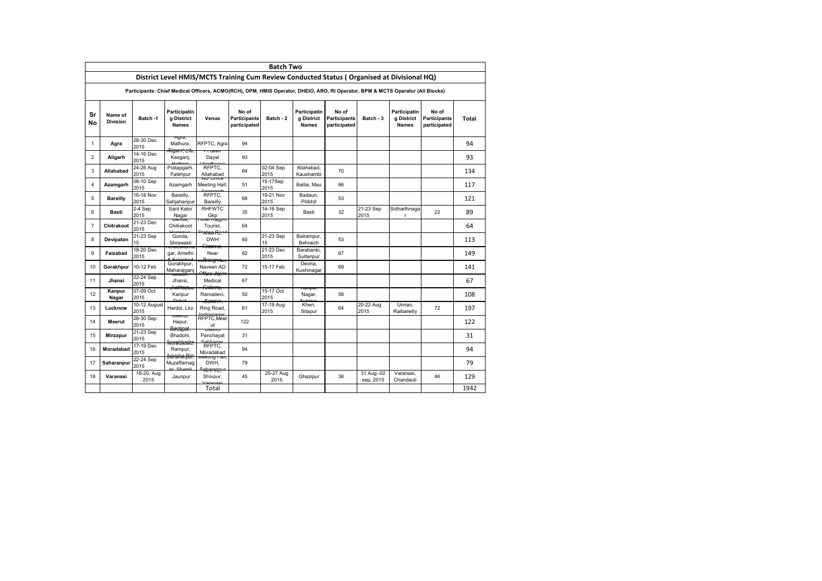|                 | <b>Batch Two</b>                                                                                                                                        |                        |                                                           |                                                                |                                              |                   |                                            |                                                                                                                                |                         |                                            |                                              |              |  |  |
|-----------------|---------------------------------------------------------------------------------------------------------------------------------------------------------|------------------------|-----------------------------------------------------------|----------------------------------------------------------------|----------------------------------------------|-------------------|--------------------------------------------|--------------------------------------------------------------------------------------------------------------------------------|-------------------------|--------------------------------------------|----------------------------------------------|--------------|--|--|
|                 |                                                                                                                                                         |                        |                                                           |                                                                |                                              |                   |                                            | District Level HMIS/MCTS Training Cum Review Conducted Status (Organised at Divisional HQ)                                     |                         |                                            |                                              |              |  |  |
|                 |                                                                                                                                                         |                        |                                                           |                                                                |                                              |                   |                                            | Participants: Chief Medical Officers, ACMO(RCH), DPM, HMIS Operator, DHEIO, ARO, RI Operator, BPM & MCTS Operator (All Blocks) |                         |                                            |                                              |              |  |  |
| <b>Sr</b><br>No | Name of<br><b>Division</b>                                                                                                                              | Batch -1               | Participatin<br>g District<br><b>Names</b>                | Venue                                                          | No of<br><b>Participants</b><br>participated | Batch - 2         | Participatin<br>g District<br><b>Names</b> | No of<br><b>Participants</b><br>participated                                                                                   | Batch - 3               | Participatin<br>g District<br><b>Names</b> | No of<br><b>Participants</b><br>participated | <b>Total</b> |  |  |
| $\mathbf{1}$    | Agra                                                                                                                                                    | 28-30 Dec<br>2015      | Ayıa,<br>Mathura,                                         | RFPTC, Agra                                                    | 94                                           |                   |                                            |                                                                                                                                |                         |                                            |                                              | 94           |  |  |
| 2               | Aligarh                                                                                                                                                 | 14-16 Dec<br>2015      | <del>Fiigarnheda,</del><br>Kasganj,<br><b>Literature</b>  | Dayal                                                          | 93                                           |                   |                                            |                                                                                                                                |                         |                                            |                                              | 93           |  |  |
| 3               | Allahabad                                                                                                                                               | 24-26 Aug<br>2015      | Pratapgarh,<br>Fatehpur                                   | RFPTC,<br>Allahabad                                            | 64                                           | 02-04 Sep<br>2015 | Allahabad,<br>Kaushambi                    | 70                                                                                                                             |                         |                                            |                                              | 134          |  |  |
| 4               | <del>AD Omce</del><br>08-10 Sep<br>15-17Sep<br>Azamgarh<br>Azamgarh<br>51<br>Ballia, Mau<br>66<br>117<br>Meeting Hall,<br>2015<br>2015                  |                        |                                                           |                                                                |                                              |                   |                                            |                                                                                                                                |                         |                                            |                                              |              |  |  |
| 5               | 16-18 Nov<br>RFPTC.<br>$19-21$ Nov<br>Bareilly,<br>Badaun,<br>68<br>53<br><b>Bareilly</b><br>121<br>2015<br>2015<br>Pilibhit<br>Sahjahanpur<br>Bareilly |                        |                                                           |                                                                |                                              |                   |                                            |                                                                                                                                |                         |                                            |                                              |              |  |  |
| 6               | Basti                                                                                                                                                   | 2-4 Sep<br>2015        | Sant Kabir<br>Nagar                                       | <b>RHFWTC</b><br>Gkp                                           | 35                                           | 14-16 Sep<br>2015 | Basti                                      | 32                                                                                                                             | 21-23 Sep<br>2015       | Sidharthnaga<br>r                          | 22                                           | 89           |  |  |
| 7               | Chitrakoot                                                                                                                                              | 21-23 Dec<br>2015      | <del>Danua,</del><br>Chitrakoot<br>Llominnu               | <del>noter reagam</del><br>Tourist,<br><sup>2+</sup> atign Rea | 64                                           |                   |                                            |                                                                                                                                |                         |                                            |                                              | 64           |  |  |
| 8               | Devipatan                                                                                                                                               | 21-23 Sep<br>15        | Gonda,<br>Shrawasti                                       | <b>DWH</b>                                                     | 60                                           | 21-23 Sep<br>15   | Balrampur,<br>Behraich                     | 53                                                                                                                             |                         |                                            |                                              | 113          |  |  |
| 9               | Faizabad                                                                                                                                                | 18-20 Dec<br>2015      | <del>impeukama</del><br>gar, Amethi                       | <del>Anmre,</del><br>Near                                      | 82                                           | 21-23 Dec<br>2015 | Barabanki,<br>Sultanpur                    | 67                                                                                                                             |                         |                                            |                                              | 149          |  |  |
| 10              | Gorakhpur                                                                                                                                               | 10-12 Feb              | Gorakhpur,<br>Maharajganj                                 | r <del>eenng ram,</del><br>Naveen AD<br><del>ᡩfirr Nga</del>   | 72                                           | 15-17 Feb         | Deoria,<br>Kushinagar                      | 69                                                                                                                             |                         |                                            |                                              | 141          |  |  |
| 11              | Jhansi                                                                                                                                                  | 22-24 Sep<br>2015      | Jaidull,<br>Jhansi,<br><del>al ulitausau</del>            | Medical<br><del>Anllare,</del>                                 | 67                                           |                   |                                            |                                                                                                                                |                         |                                            |                                              | 67           |  |  |
| 12              | Kanpur<br>Nagar                                                                                                                                         | 07-09 Oct<br>2015      | Kanpur<br>$D$ ohot                                        | Ramadevi,                                                      | 50                                           | 15-17 Oct<br>2015 | <del>vanpur</del><br>Nagar,<br>ستمسب       | 58                                                                                                                             |                         |                                            |                                              | 108          |  |  |
| 13              | Lucknow                                                                                                                                                 | $10-12$ August<br>2015 | Hardoi, Lko                                               | <b>COMAT,</b><br>Ring Road,<br>Indiranagar                     | 61                                           | 17-19 Aug<br>2015 | Kheri,<br>Sitapur                          | 64                                                                                                                             | 20-22 Aug<br>2015       | Unnao,<br>Raibareilly                      | 72                                           | 197          |  |  |
| 14              | Meerut                                                                                                                                                  | $28-30$ Sep<br>2015    | ivieerut,<br>Hapur,                                       | RFPTC, Meer<br>ut                                              | 122                                          |                   |                                            |                                                                                                                                |                         |                                            |                                              | 122          |  |  |
| 15              | <b>Mirzapur</b>                                                                                                                                         | $21-23$ Sep<br>2015    | Rmzapat,<br>Bhadohi,                                      | णञ्तारा<br>Panchayat<br>Cabbagar                               | 31                                           |                   |                                            |                                                                                                                                |                         |                                            |                                              | 31           |  |  |
| 16              | Moradabad                                                                                                                                               | 17-19 Dec<br>2015      | Ronabland G<br>Rampur,                                    | RFPTC,<br>Moradabad                                            | 94                                           |                   |                                            |                                                                                                                                |                         |                                            |                                              | 94           |  |  |
| 17              | Saharanpur                                                                                                                                              | 22-24 Sep<br>2015      | <del>anaha Bür,</del><br>Muzaffarnag<br>$O(1.2 \times 1)$ | <del>nceung man,</del><br>DWH,                                 | 79                                           |                   |                                            |                                                                                                                                |                         |                                            |                                              | 79           |  |  |
| 18              | Varanasi                                                                                                                                                | 18-20, Aug<br>2015     | Jaunpur                                                   | <del>khrner</del><br>Shivpur,<br>Varangei                      | 45                                           | 25-27 Aug<br>2015 | Ghazipur                                   | 38                                                                                                                             | 31 Aug -02<br>sep, 2015 | Varanasi,<br>Chandauli                     | 46                                           | 129          |  |  |
|                 |                                                                                                                                                         |                        |                                                           | Total                                                          |                                              |                   |                                            |                                                                                                                                |                         |                                            |                                              | 1942         |  |  |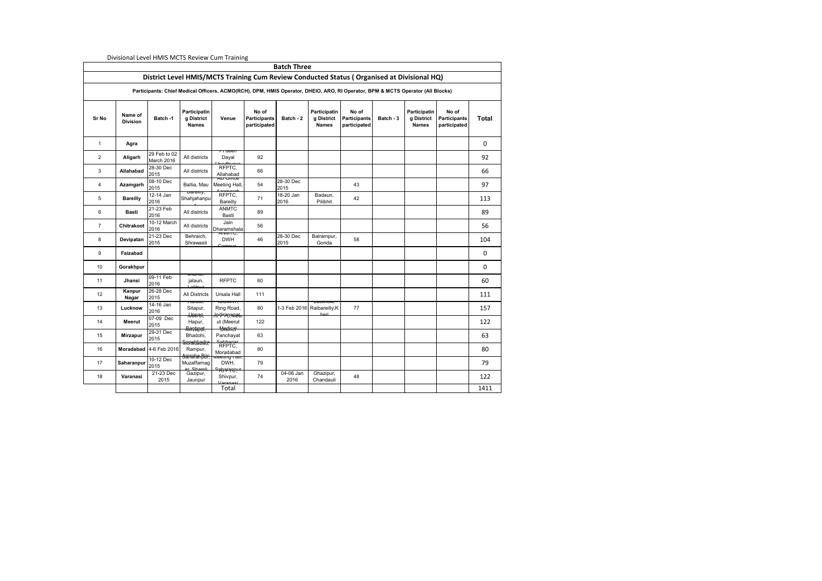|                | <b>Propondi Level Times meto neview canni naming</b><br><b>Batch Three</b><br>District Level HMIS/MCTS Training Cum Review Conducted Status (Organised at Divisional HQ) |                            |                                                       |                                                          |                                              |                     |                                            |                                                                                                                                |           |                                            |                                              |              |  |  |
|----------------|--------------------------------------------------------------------------------------------------------------------------------------------------------------------------|----------------------------|-------------------------------------------------------|----------------------------------------------------------|----------------------------------------------|---------------------|--------------------------------------------|--------------------------------------------------------------------------------------------------------------------------------|-----------|--------------------------------------------|----------------------------------------------|--------------|--|--|
|                |                                                                                                                                                                          |                            |                                                       |                                                          |                                              |                     |                                            |                                                                                                                                |           |                                            |                                              |              |  |  |
|                |                                                                                                                                                                          |                            |                                                       |                                                          |                                              |                     |                                            | Participants: Chief Medical Officers, ACMO(RCH), DPM, HMIS Operator, DHEIO, ARO, RI Operator, BPM & MCTS Operator (All Blocks) |           |                                            |                                              |              |  |  |
| Sr No          | Name of<br><b>Division</b>                                                                                                                                               | Batch -1                   | Participatin<br>g District<br><b>Names</b>            | Venue                                                    | No of<br><b>Participants</b><br>participated | Batch - 2           | Participatin<br>g District<br><b>Names</b> | No of<br><b>Participants</b><br>participated                                                                                   | Batch - 3 | Participatin<br>g District<br><b>Names</b> | No of<br><b>Participants</b><br>participated | <b>Total</b> |  |  |
| 1              | Agra                                                                                                                                                                     |                            |                                                       |                                                          |                                              |                     |                                            |                                                                                                                                |           |                                            |                                              | 0            |  |  |
| $\overline{2}$ | Aligarh                                                                                                                                                                  | 29 Feb to 02<br>March 2016 | All districts                                         | $\tau$ ucen<br>Dayal<br>Inadhuay                         | 92                                           |                     |                                            |                                                                                                                                |           |                                            |                                              | 92           |  |  |
| 3              | Allahabad                                                                                                                                                                | $28-30$ Dec<br>2015        | All districts                                         | RFPTC,<br>Allahabad                                      | 66                                           |                     |                                            |                                                                                                                                |           |                                            |                                              | 66           |  |  |
| 4              | Azamgarh                                                                                                                                                                 | 08-10 Dec<br>2015          | Ballia, Mau                                           | <del>AD OMCC</del><br>Meeting Hall,                      | 54                                           | 28-30 Dec<br>2015   |                                            | 43                                                                                                                             |           |                                            |                                              | 97           |  |  |
| 5              | <b>Bareilly</b>                                                                                                                                                          | $12-14$ Jan<br>2016        | <del>Daremy,</del><br>Shahjahanpu                     | RFPTC,<br>Bareilly                                       | 71                                           | $18-20$ Jan<br>2016 | Badaun,<br>Pilibhit                        | 42                                                                                                                             |           |                                            |                                              | 113          |  |  |
| 6              | Basti                                                                                                                                                                    | 21-23 Feb<br>2016          | All districts                                         | <b>ANMTC</b><br>Basti                                    | 89                                           |                     |                                            |                                                                                                                                |           |                                            |                                              | 89           |  |  |
| $\overline{7}$ | <b>Chitrakoot</b>                                                                                                                                                        | 10-12 March<br>2016        | All districts                                         | Jain<br>Dharamshala                                      | 56                                           |                     |                                            |                                                                                                                                |           |                                            |                                              | 56           |  |  |
| 8              | Devipatan                                                                                                                                                                | $21-23$ Dec<br>2015        | Behraich,<br>Shrawasti                                | ∖। । । । । । । ,<br><b>DWH</b>                           | 46                                           | 28-30 Dec<br>2015   | Balrampur,<br>Gonda                        | 58                                                                                                                             |           |                                            |                                              | 104          |  |  |
| 9              | Faizabad                                                                                                                                                                 |                            |                                                       |                                                          |                                              |                     |                                            |                                                                                                                                |           |                                            |                                              | 0            |  |  |
| 10             | Gorakhpur                                                                                                                                                                |                            |                                                       |                                                          |                                              |                     |                                            |                                                                                                                                |           |                                            |                                              | 0            |  |  |
| 11             | Jhansi                                                                                                                                                                   | 09-11 Feb<br>2016          | <del>Jilansi,</del><br>jalaun,<br>عبيمةناد            | <b>RFPTC</b>                                             | 60                                           |                     |                                            |                                                                                                                                |           |                                            |                                              | 60           |  |  |
| 12             | Kanpur<br>Nagar                                                                                                                                                          | 26-28 Dec<br>2015          | <b>All Districts</b>                                  | Ursala Hall                                              | 111                                          |                     |                                            |                                                                                                                                |           |                                            |                                              | 111          |  |  |
| 13             | Lucknow                                                                                                                                                                  | 14-16 Jan<br>2016          | naruor,<br>Sitapur,<br><del>Meenn,</del>              | <b>IUUININI,</b><br>Ring Road,<br><del>kr4'ne,weer</del> | 80                                           | 1-3 Feb 2016        | LUCKHOW,<br>Raibareilly, K                 | 77                                                                                                                             |           |                                            |                                              | 157          |  |  |
| 14             | Meerut                                                                                                                                                                   | 07-09 Dec<br>2015          | Hapur,                                                | ut (Meerut<br><b>Mediral</b>                             | 122                                          |                     |                                            |                                                                                                                                |           |                                            |                                              | 122          |  |  |
| 15             | <b>Mirzapur</b>                                                                                                                                                          | 29-31 Dec<br>2015          | <del>Rnzapat,</del><br>Bhadohi,<br><b>Ronablander</b> | Panchayat<br>Sabbagar                                    | 63                                           |                     |                                            |                                                                                                                                |           |                                            |                                              | 63           |  |  |
| 16             |                                                                                                                                                                          | Moradabad 4-6 Feb 2016     | Rampur,<br><del>Sanaha Bür,</del>                     | RFPTC,<br>Moradabad                                      | 80                                           |                     |                                            |                                                                                                                                |           |                                            |                                              | 80           |  |  |
| 17             | Saharanpur                                                                                                                                                               | 10-12 Dec<br>2015          | Muzaffarnag                                           | ivi <del>ceung mail,</del><br>DWH,                       | 79                                           |                     |                                            |                                                                                                                                |           |                                            |                                              | 79           |  |  |
| 18             | Varanasi                                                                                                                                                                 | $21-23$ Dec<br>2015        | Gazipur,<br>Jaunpur                                   | ᠳ <del>ᠻᡃᠩᡟ</del> ᡆᡘᢒᡃ<br>Shivpur,<br>Verensei           | 74                                           | 04-06 Jan<br>2016   | Ghazipur,<br>Chandauli                     | 48                                                                                                                             |           |                                            |                                              | 122          |  |  |
|                |                                                                                                                                                                          |                            |                                                       | Total                                                    |                                              |                     |                                            |                                                                                                                                |           |                                            |                                              | 1411         |  |  |

Divisional Level HMIS MCTS Review Cum Training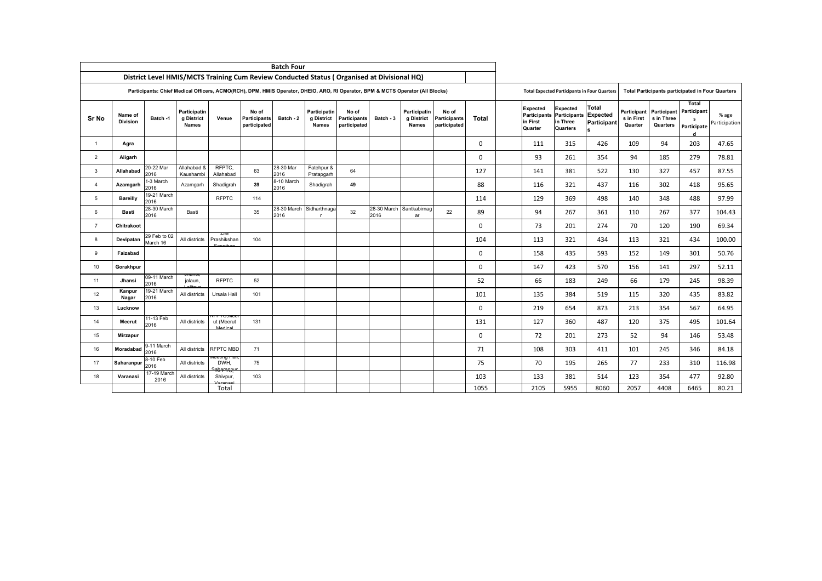|                 | <b>Batch Four</b>          |                          |                                                   |                           |                                                                                                                                |                    |                                            |                                              |           |                                            |                                              |              |                                                               |                                                                         |                             |                                             |                                       |                                                         |                        |
|-----------------|----------------------------|--------------------------|---------------------------------------------------|---------------------------|--------------------------------------------------------------------------------------------------------------------------------|--------------------|--------------------------------------------|----------------------------------------------|-----------|--------------------------------------------|----------------------------------------------|--------------|---------------------------------------------------------------|-------------------------------------------------------------------------|-----------------------------|---------------------------------------------|---------------------------------------|---------------------------------------------------------|------------------------|
|                 |                            |                          |                                                   |                           | District Level HMIS/MCTS Training Cum Review Conducted Status (Organised at Divisional HQ)                                     |                    |                                            |                                              |           |                                            |                                              |              |                                                               |                                                                         |                             |                                             |                                       |                                                         |                        |
|                 |                            |                          |                                                   |                           | Participants: Chief Medical Officers, ACMO(RCH), DPM, HMIS Operator, DHEIO, ARO, RI Operator, BPM & MCTS Operator (All Blocks) |                    |                                            |                                              |           |                                            |                                              |              |                                                               | <b>Total Expected Participants in Four Quarters</b>                     |                             |                                             |                                       | <b>Total Participants participated in Four Quarters</b> |                        |
| <b>Sr No</b>    | Name of<br><b>Division</b> | Batch -1                 | <b>Participatin</b><br>g District<br><b>Names</b> | Venue                     | No of<br><b>Participants</b><br>participated                                                                                   | Batch - 2          | Participatin<br>g District<br><b>Names</b> | No of<br><b>Participants</b><br>participated | Batch - 3 | Participatin<br>g District<br><b>Names</b> | No of<br><b>Participants</b><br>participated | <b>Total</b> | <b>Expected</b><br><b>Participants</b><br>in First<br>Quarter | Expected<br><b>Participants Expected</b><br>in Three<br><b>Quarters</b> | <b>Total</b><br>Participant | <b>Participant</b><br>s in First<br>Quarter | Participant<br>s in Three<br>Quarters | Total<br>Participant<br>s<br>Participate<br>d           | % age<br>Participation |
|                 | Agra                       |                          |                                                   |                           |                                                                                                                                |                    |                                            |                                              |           |                                            |                                              | $\mathbf 0$  | 111                                                           | 315                                                                     | 426                         | 109                                         | 94                                    | 203                                                     | 47.65                  |
| 2               | Aligarh                    |                          |                                                   |                           |                                                                                                                                |                    |                                            |                                              |           |                                            |                                              | 0            | 93                                                            | 261                                                                     | 354                         | 94                                          | 185                                   | 279                                                     | 78.81                  |
| $\mathbf{3}$    | Allahabad                  | 20-22 Mar<br>2016        | Allahabad &<br>Kaushambi                          | RFPTC,<br>Allahabad       | 63                                                                                                                             | 28-30 Mar<br>2016  | Fatehpur &<br>Pratapgarh                   | 64                                           |           |                                            |                                              | 127          | 141                                                           | 381                                                                     | 522                         | 130                                         | 327                                   | 457                                                     | 87.55                  |
| $\overline{4}$  | Azamgarh                   | 1-3 March<br>2016        | Azamgarh                                          | Shadigrah                 | 39                                                                                                                             | 8-10 March<br>2016 | Shadigrah                                  | 49                                           |           |                                            |                                              | 88           | 116                                                           | 321                                                                     | 437                         | 116                                         | 302                                   | 418                                                     | 95.65                  |
| 5               | <b>Bareilly</b>            | 19-21 March<br>2016      |                                                   | <b>RFPTC</b>              | 114                                                                                                                            |                    |                                            |                                              |           |                                            |                                              | 114          | 129                                                           | 369                                                                     | 498                         | 140                                         | 348                                   | 488                                                     | 97.99                  |
| 6               | <b>Basti</b>               | 28-30 March<br>2016      | Basti                                             |                           | 35                                                                                                                             | 2016               | 28-30 March Sidharthnaga<br><b>r</b>       | 32                                           | 2016      | 28-30 March Santkabirnag<br>ar             | 22                                           | 89           | 94                                                            | 267                                                                     | 361                         | 110                                         | 267                                   | 377                                                     | 104.43                 |
| $\overline{7}$  | <b>Chitrakoot</b>          |                          |                                                   |                           |                                                                                                                                |                    |                                            |                                              |           |                                            |                                              | 0            | 73                                                            | 201                                                                     | 274                         | 70                                          | 120                                   | 190                                                     | 69.34                  |
| 8               | Devipatan                  | 29 Feb to 02<br>March 16 | All districts                                     | Prashikshan               | 104                                                                                                                            |                    |                                            |                                              |           |                                            |                                              | 104          | 113                                                           | 321                                                                     | 434                         | 113                                         | 321                                   | 434                                                     | 100.00                 |
| 9               | Faizabad                   |                          |                                                   |                           |                                                                                                                                |                    |                                            |                                              |           |                                            |                                              | 0            | 158                                                           | 435                                                                     | 593                         | 152                                         | 149                                   | 301                                                     | 50.76                  |
| 10 <sup>°</sup> | Gorakhpur                  |                          |                                                   |                           |                                                                                                                                |                    |                                            |                                              |           |                                            |                                              | $\Omega$     | 147                                                           | 423                                                                     | 570                         | 156                                         | 141                                   | 297                                                     | 52.11                  |
| 11              | Jhansi                     | 09-11 March<br>2016      | ਗਾਗਾਙਾ<br>jalaun,                                 | <b>RFPTC</b>              | 52                                                                                                                             |                    |                                            |                                              |           |                                            |                                              | 52           | 66                                                            | 183                                                                     | 249                         | 66                                          | 179                                   | 245                                                     | 98.39                  |
| 12              | Kanpur<br>Nagar            | 19-21 March<br>2016      | All districts                                     | Ursala Hall               | 101                                                                                                                            |                    |                                            |                                              |           |                                            |                                              | 101          | 135                                                           | 384                                                                     | 519                         | 115                                         | 320                                   | 435                                                     | 83.82                  |
| 13              | Lucknow                    |                          |                                                   |                           |                                                                                                                                |                    |                                            |                                              |           |                                            |                                              | 0            | 219                                                           | 654                                                                     | 873                         | 213                                         | 354                                   | 567                                                     | 64.95                  |
| 14              | Meerut                     | 11-13 Feb<br>2016        | All districts                                     | TTT U.IVIE<br>ut (Meerut  | 131                                                                                                                            |                    |                                            |                                              |           |                                            |                                              | 131          | 127                                                           | 360                                                                     | 487                         | 120                                         | 375                                   | 495                                                     | 101.64                 |
| 15              | <b>Mirzapur</b>            |                          |                                                   |                           |                                                                                                                                |                    |                                            |                                              |           |                                            |                                              | 0            | 72                                                            | 201                                                                     | 273                         | 52                                          | 94                                    | 146                                                     | 53.48                  |
| 16              | Moradabad                  | 9-11 March<br>2016       | All districts                                     | RFPTC MBD                 | 71                                                                                                                             |                    |                                            |                                              |           |                                            |                                              | 71           | 108                                                           | 303                                                                     | 411                         | 101                                         | 245                                   | 346                                                     | 84.18                  |
| 17              | Saharanpur                 | 8-10 Feb<br>2016         | All districts                                     | <del>cung r</del><br>DWH, | 75                                                                                                                             |                    |                                            |                                              |           |                                            |                                              | 75           | 70                                                            | 195                                                                     | 265                         | 77                                          | 233                                   | 310                                                     | 116.98                 |
| 18              | Varanasi                   | 17-19 March<br>2016      | All districts                                     | Shivpur,                  | 103                                                                                                                            |                    |                                            |                                              |           |                                            |                                              | 103          | 133                                                           | 381                                                                     | 514                         | 123                                         | 354                                   | 477                                                     | 92.80                  |
|                 |                            |                          |                                                   | Total                     |                                                                                                                                |                    |                                            |                                              |           |                                            |                                              | 1055         | 2105                                                          | 5955                                                                    | 8060                        | 2057                                        | 4408                                  | 6465                                                    | 80.21                  |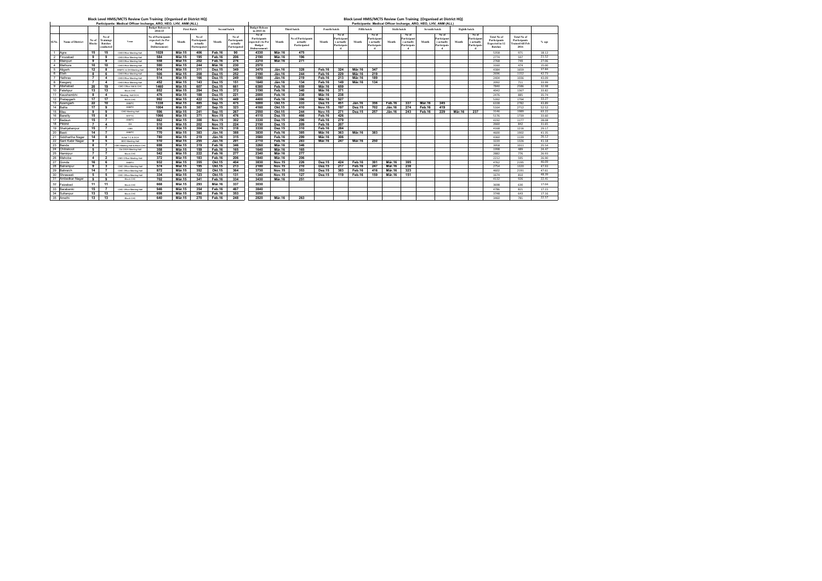| Participants: Medical Officer Incharge, ARO, HEO, LHV, ANM (ALL) |                         |                 |                                                          |                                |                                                                                 |               |                                                   |               |                                                   |                                                                                   |               |                                                       |               |                                                   |                    | Participants: Medical Officer Incharge, ARO, HEO, LHV, ANM (ALL) |                    |                                                   |                      |                                                   |               |                                                  |                                                                               |                                                                       |         |
|------------------------------------------------------------------|-------------------------|-----------------|----------------------------------------------------------|--------------------------------|---------------------------------------------------------------------------------|---------------|---------------------------------------------------|---------------|---------------------------------------------------|-----------------------------------------------------------------------------------|---------------|-------------------------------------------------------|---------------|---------------------------------------------------|--------------------|------------------------------------------------------------------|--------------------|---------------------------------------------------|----------------------|---------------------------------------------------|---------------|--------------------------------------------------|-------------------------------------------------------------------------------|-----------------------------------------------------------------------|---------|
|                                                                  |                         |                 |                                                          |                                | <b>Budget Release in</b><br>2014-15                                             |               | <b>First Batch</b>                                |               | <b>Second batch</b>                               | <b>Budget Release</b><br>in 2015-16                                               |               | Third batch                                           | Fourth batch  |                                                   | <b>Fifth batch</b> |                                                                  | <b>Sixth batch</b> |                                                   | <b>Seventh batch</b> |                                                   | Eighth batch  |                                                  |                                                                               |                                                                       |         |
| Sl.No.                                                           | <b>Name of District</b> | No of<br>Blocks | No of<br><b>Trainings</b><br><b>Batches</b><br>conducted | <b>Venue</b>                   | <b>No of Participants</b><br>expected (As Per<br><b>Budget</b><br>Disbursement) | Month         | No of<br>Participants<br>actually<br>Participated | Month         | No of<br>Participants<br>actually<br>Participated | No of<br>Participants<br>expected (As Per<br><b>Budget</b><br><b>Disbursement</b> | Month         | <b>No of Participants</b><br>actually<br>Participated | Month         | No of<br>Participant<br>s actually<br>Participate | Month              | No of<br>Participant<br>s actually<br>Participate                | Month              | No of<br>Participant<br>s actually<br>Participate | Month                | No of<br>Participant<br>s actually<br>Participate | Month         | No of<br>Participan<br>s actually<br>Participate | <b>Total No of</b><br>Participants<br><b>Expected in 12</b><br><b>Batches</b> | <b>Total No of</b><br>Participants<br><b>Frained till Feb</b><br>2016 | $%$ age |
|                                                                  | Agra                    | 15              | 15                                                       | <b>CMOOffice Meeting Hall</b>  | 1028                                                                            | <b>Mär.15</b> | 406                                               | Feb.16        | 90                                                | 4330                                                                              | <b>Mär.16</b> | 475                                                   |               |                                                   |                    |                                                                  |                    |                                                   |                      |                                                   |               |                                                  | 5358                                                                          | 971                                                                   | 18.12   |
|                                                                  | Firozabad               | 9               |                                                          | <b>CMOOffice Meeting Hall</b>  | 584                                                                             | <b>Mär.15</b> | 195                                               | <b>Feb.16</b> | 206                                               | 2190                                                                              | <b>Mär.16</b> | 196                                                   |               |                                                   |                    |                                                                  |                    |                                                   |                      |                                                   |               |                                                  | 2774                                                                          | 597                                                                   | 21.52   |
|                                                                  | Mainpuri                | 9               |                                                          | <b>CMOOffice Meeting Hall</b>  | 558                                                                             | <b>Mär.15</b> | 202                                               | <b>Feb.16</b> | 276                                               | 2210                                                                              | <b>Mär.16</b> | 271                                                   |               |                                                   |                    |                                                                  |                    |                                                   |                      |                                                   |               |                                                  | 2768                                                                          | 749                                                                   | 27.06   |
|                                                                  | Mathura                 | 10              | 10                                                       | <b>CMOOffice Meeting Hall</b>  | 590                                                                             | <b>Mär.15</b> | 244                                               | <b>Mär.16</b> | 230                                               | 2570                                                                              |               |                                                       |               |                                                   |                    |                                                                  |                    |                                                   |                      |                                                   |               |                                                  | 3160                                                                          | 474                                                                   | 15.00   |
|                                                                  | Aligarh                 | 12              |                                                          | ANMTC & DH Meeting Hall        | 914                                                                             | <b>Mär.15</b> | 311                                               | <b>Dez.15</b> | 349                                               | 3470                                                                              | <b>Jän.16</b> | 328                                                   | Feb.16        | 324                                               | <b>Mär.16</b>      | 347                                                              |                    |                                                   |                      |                                                   |               |                                                  | 4384                                                                          | 1659                                                                  | 37.84   |
|                                                                  | Etah                    | 8               |                                                          | <b>CMOOffice Meeting Hall</b>  | 506                                                                             | <b>Mär.15</b> | 208                                               | <b>Dez.15</b> | 252                                               | 2190                                                                              | Jän.16        | 244                                                   | Feb.16        | 229                                               | Mär.16             | 219                                                              |                    |                                                   |                      |                                                   |               |                                                  | 2696                                                                          | 1152                                                                  | 42.73   |
|                                                                  | Hathras                 | $\overline{7}$  |                                                          | <b>CMOOffice Meeting Hall</b>  | 514                                                                             | <b>Mär.15</b> | 166                                               | <b>Dez.15</b> | 249                                               | 1890                                                                              | <b>Jän.16</b> | 219                                                   | Feb.16        | 213                                               | Mär.16             | 189                                                              |                    |                                                   |                      |                                                   |               |                                                  | 2404                                                                          | 1036                                                                  | 43.09   |
|                                                                  | Kasganj                 | $\overline{7}$  |                                                          | <b>CMOOffice Meeting Hall</b>  | 452                                                                             | <b>Mär.15</b> | 143                                               | <b>Dez.15</b> | 151                                               | 1640                                                                              | Jän.16        | 134                                                   | Feb.16        | 149                                               | Mär.16             | 134                                                              |                    |                                                   |                      |                                                   |               |                                                  | 2092                                                                          | 711                                                                   | 33.99   |
|                                                                  | Allahabad               | 20              | 19                                                       | CMO Office Hall & CHC          | 1460                                                                            | <b>Mär.15</b> | 607                                               | <b>Dez.15</b> | 661                                               | 6380                                                                              | Feb.16        | 659                                                   | <b>Mär.16</b> | 659                                               |                    |                                                                  |                    |                                                   |                      |                                                   |               |                                                  | 7840                                                                          | 2586                                                                  | 32.98   |
|                                                                  | Fatehpur                | 13              | 13                                                       | <b>Block CHC</b>               | 852                                                                             | <b>Mär.15</b> | 284                                               | <b>Dez.15</b> | 372                                               | 3190                                                                              | Feb.16        | 340                                                   | <b>Mär.16</b> | 371                                               |                    |                                                                  |                    |                                                   |                      |                                                   |               |                                                  | 4042                                                                          | 1367                                                                  | 33.82   |
|                                                                  | Kaushambh               | 8               |                                                          | Meeting Hall DCH               | 476                                                                             | <b>Mär.15</b> | 188                                               | <b>Dez.15</b> | 221                                               | 2000                                                                              | <b>Feb.16</b> | 238                                                   | <b>Mär.16</b> | 238                                               |                    |                                                                  |                    |                                                   |                      |                                                   |               |                                                  | 2476                                                                          | 885                                                                   | 35.74   |
| 12 <sup>2</sup>                                                  | Pratapgarh              | 17              | 17                                                       | <b>Block CHC</b>               | 992                                                                             | <b>Mär.15</b> | 422                                               | <b>Dez.15</b> | 449                                               | 4400                                                                              | Feb.16        | 396                                                   | <b>Mär.16</b> | 527                                               |                    |                                                                  |                    |                                                   |                      |                                                   |               |                                                  | 5392                                                                          | 1794                                                                  | 33.27   |
| 13 <sup>1</sup>                                                  | Azamgarh                | 22              | 10                                                       | <b>ANMTC</b>                   | 1338                                                                            | <b>Mär.15</b> | 485                                               | <b>Sep.15</b> | 475                                               | 5000                                                                              | <b>Okt.15</b> | 333                                                   | <b>Dez.15</b> | 451                                               | Jän.16             | 356                                                              | Feb.16             | 337                                               | <b>Mär.16</b>        | 345                                               |               |                                                  | 6338                                                                          | 2782                                                                  | 43.89   |
|                                                                  | 14 Ballia               | 17              |                                                          | ANMTC                          | 1004                                                                            | <b>Mär.15</b> | 387                                               | <b>Sep.15</b> | 323                                               | 4160                                                                              | <b>Okt.15</b> | 410                                                   | <b>Nov.15</b> | 197                                               | <b>Dez.15</b>      | 702                                                              | <b>Jän.16</b>      | 274                                               | Feb.16               | 419                                               |               |                                                  | 5164                                                                          | 2712                                                                  | 52.52   |
| 15 <sub>1</sub>                                                  | Mau                     | 9               |                                                          | <b>CMO Meeting Hall</b>        | 596                                                                             | <b>Mär.15</b> | 241                                               | <b>Sep.15</b> | 267                                               | 2550                                                                              | <b>Okt.15</b> | 244                                                   | <b>Nov.15</b> | 271                                               | <b>Dez.15</b>      | 257                                                              | Jän.16             | 243                                               | Feb.16               | 229                                               | <b>Mär.16</b> | 237                                              | 3146                                                                          | 1989                                                                  | 63.22   |
| 16 <sup>1</sup>                                                  | Bareilly                | 15              |                                                          | <b>RFPTC</b>                   | 1066                                                                            | <b>Mär.15</b> | 371                                               | <b>Nov.15</b> | 476                                               | 4110                                                                              | <b>Dez.15</b> | 466                                                   | Feb.16        | 426                                               |                    |                                                                  |                    |                                                   |                      |                                                   |               |                                                  | 5176                                                                          | 1739                                                                  | 33.60   |
| 17                                                               | Badaun                  | 15              |                                                          | ANMTC                          | 862                                                                             | <b>Mär.15</b> | 300                                               | <b>Nov.15</b> | 302                                               | 3330                                                                              | <b>Dez.15</b> | 296                                                   | Feb.16        | 279                                               |                    |                                                                  |                    |                                                   |                      |                                                   |               |                                                  | 4192                                                                          | 1177                                                                  | 28.08   |
| 18                                                               | Pilibhit                | $\overline{7}$  |                                                          | DH                             | 510                                                                             | <b>Mär.15</b> | 202                                               | <b>Nov.15</b> | 224                                               | 2150                                                                              | <b>Dez.15</b> | 209                                                   | Feb.16        | 207                                               |                    |                                                                  |                    |                                                   |                      |                                                   |               |                                                  | 2660                                                                          | 842                                                                   | 31.65   |
| 19                                                               | Shahjahanpur            | 15              |                                                          | CMO                            | 838                                                                             | <b>Mär.15</b> | 304                                               | <b>Nov.15</b> | 318                                               | 3330                                                                              | <b>Dez.15</b> | 310                                                   | Feb.16        | 284                                               |                    |                                                                  |                    |                                                   |                      |                                                   |               |                                                  | 4168                                                                          | 1216                                                                  | 29.17   |
| 20                                                               | <b>Basti</b>            | 14              |                                                          | <b>ANMTC</b>                   | 770                                                                             | <b>Mär.15</b> | 383                                               | Jän.16        | 388                                               | 3830                                                                              | Feb.16        | 385                                                   | <b>Mär.16</b> | 363                                               | <b>Mär.16</b>      | 383                                                              |                    |                                                   |                      |                                                   |               |                                                  | 4600                                                                          | 1902                                                                  | 41.35   |
| 21                                                               | Siddhartha Nagar        | 14              |                                                          | Achal T C & DCH                | 780                                                                             | <b>Mär.15</b> | 219                                               | Jän.16        | 315                                               | 3580                                                                              | Feb.16        | 299                                                   | <b>Mär.16</b> | 306                                               |                    |                                                                  |                    |                                                   |                      |                                                   |               |                                                  | 4360                                                                          | 1139                                                                  | 26.12   |
| 22                                                               | Sant Kabir Nagar        | 9               | -5                                                       | <b>BDO Meeting Hall</b>        | 510                                                                             | <b>Mär.15</b> | 255                                               | <b>Jän.16</b> | 291                                               | 2710                                                                              | Feb.16        | 283                                                   | <b>Mär.16</b> | 247                                               | Mär.16             | 250                                                              |                    |                                                   |                      |                                                   |               |                                                  | 3220                                                                          | 1326                                                                  | 41.18   |
|                                                                  | 23 Banda                | 8               |                                                          | CMO Meeting Hall & Block CHO   | 698                                                                             | <b>Mär.15</b> | 319                                               | Feb.16        | 346                                               | 3260                                                                              | <b>Mär.16</b> | 346                                                   |               |                                                   |                    |                                                                  |                    |                                                   |                      |                                                   |               |                                                  | 3958                                                                          | 1011                                                                  | 25.54   |
|                                                                  | 24 Chitrakoot           | $5\overline{)}$ |                                                          | Old DWH Meeting Hall           | 358                                                                             | <b>Mär.15</b> | 159                                               | Feb.16        | 165                                               | 1640                                                                              | <b>Mär.16</b> | 165                                                   |               |                                                   |                    |                                                                  |                    |                                                   |                      |                                                   |               |                                                  | 1998                                                                          | 489                                                                   | 24.47   |
| 25                                                               | Hamirpur                | $\overline{7}$  |                                                          | <b>Block CHC</b>               | 542                                                                             | <b>Mär.15</b> | 222                                               | Feb.16        | 277                                               | 2340                                                                              | <b>Mär.16</b> | 277                                                   |               |                                                   |                    |                                                                  |                    |                                                   |                      |                                                   |               |                                                  | 2882                                                                          | 776                                                                   | 26.93   |
| 26                                                               | Mahoba                  | $\overline{4}$  | $\mathbf{2}$                                             | <b>CMO Office Meeting Hall</b> | 372                                                                             | <b>Mär.15</b> | 183                                               | Feb.16        | 206                                               | 1840                                                                              | <b>Mär.16</b> | 206                                                   |               |                                                   |                    |                                                                  |                    |                                                   |                      |                                                   |               |                                                  | 2212                                                                          | 595                                                                   | 26.90   |
|                                                                  | 27 Gonda                | 16              |                                                          | ANMTC                          | 932                                                                             | <b>Mär.15</b> | 355                                               | <b>Okt.15</b> | 404                                               | 3830                                                                              | <b>Nov.15</b> | 226                                                   | <b>Dez.15</b> | 424                                               | Feb.16             | 391                                                              | <b>Mär.16</b>      | 395                                               |                      |                                                   |               |                                                  | 4762                                                                          | 2195                                                                  | 46.09   |
| 28                                                               | Balrampur               | 9               |                                                          | <b>CMO Office Meeting Hall</b> | 574                                                                             | <b>Mär.15</b> | 195                                               | <b>Okt.15</b> | 213                                               | 2180                                                                              | <b>Nov.15</b> | 210                                                   | <b>Dez.15</b> | 217                                               | Feb.16             | 247                                                              | Mär.16             | 238                                               |                      |                                                   |               |                                                  | 2754                                                                          | 1320                                                                  | 47.93   |
|                                                                  | 29 Bahraich             | 14              |                                                          | <b>CMO Office Meeting Hall</b> | 872                                                                             | <b>Mär.15</b> | 352                                               | <b>Okt.15</b> | 364                                               | 3730                                                                              | <b>Nov.15</b> | 353                                                   | <b>Dez.15</b> | 383                                               | Feb.16             | 416                                                              | <b>Mär.16</b>      | 323                                               |                      |                                                   |               |                                                  | 4602                                                                          | 2191                                                                  | 47.61   |
|                                                                  | 30 Shrawasti            | 5               |                                                          | <b>CMO Office Meeting Hall</b> | 334                                                                             | <b>Mär.15</b> | 123                                               | <b>Okt.15</b> | 131                                               | 1340                                                                              | <b>Nov.15</b> | 127                                                   | <b>Dez.15</b> | 119                                               | Feb.16             | 159                                                              | Mär.16             | 151                                               |                      |                                                   |               |                                                  | 1674                                                                          | 810                                                                   | 48.39   |
| 31                                                               | Ambedkar Nagar          | 9               | 9                                                        | <b>Block CHC</b>               | 702                                                                             | <b>Mär.15</b> | 341                                               | Feb.16        | 334                                               | 3430                                                                              | Mär.16        | 251                                                   |               |                                                   |                    |                                                                  |                    |                                                   |                      |                                                   |               |                                                  | 4132                                                                          | 926                                                                   | 22.41   |
| 32                                                               | Faizabad                | 11              | 11                                                       | <b>Block CHC</b>               | 668                                                                             | <b>Mär.15</b> | 293                                               | Mär.16        | 337                                               | 3030                                                                              |               |                                                       |               |                                                   |                    |                                                                  |                    |                                                   |                      |                                                   |               |                                                  | 3698                                                                          | 630                                                                   | 17.04   |
| 33                                                               | Barabanki               | 15              |                                                          | <b>CMO Office Meeting Hall</b> | 946                                                                             | <b>Mär.15</b> | 354                                               | Feb.16        | 467                                               | 3840                                                                              |               |                                                       |               |                                                   |                    |                                                                  |                    |                                                   |                      |                                                   |               |                                                  | 4786                                                                          | 821                                                                   | 17.15   |
| 34                                                               | Sultanpur               | 13              | 13                                                       | <b>Block CHC</b>               | 698                                                                             | <b>Mär.15</b> | 290                                               | Feb.16        | 353                                               | 3050                                                                              |               |                                                       |               |                                                   |                    |                                                                  |                    |                                                   |                      |                                                   |               |                                                  | 3748                                                                          | 643                                                                   | 17.16   |
|                                                                  | 35 Amethi               | 13              | 13                                                       | <b>Block CHC</b>               | 640                                                                             | Mär.15        | 270                                               | Feb.16        | 248                                               | 2820                                                                              | <b>Mär.16</b> | 263                                                   |               |                                                   |                    |                                                                  |                    |                                                   |                      |                                                   |               |                                                  | 3460                                                                          | 781                                                                   | 22.57   |

### **Block Level HMIS/MCTS Review Cum Training (Organised at District HQ)**

### **Block Level HMIS/MCTS Review Cum Training (Organised at District HQ)**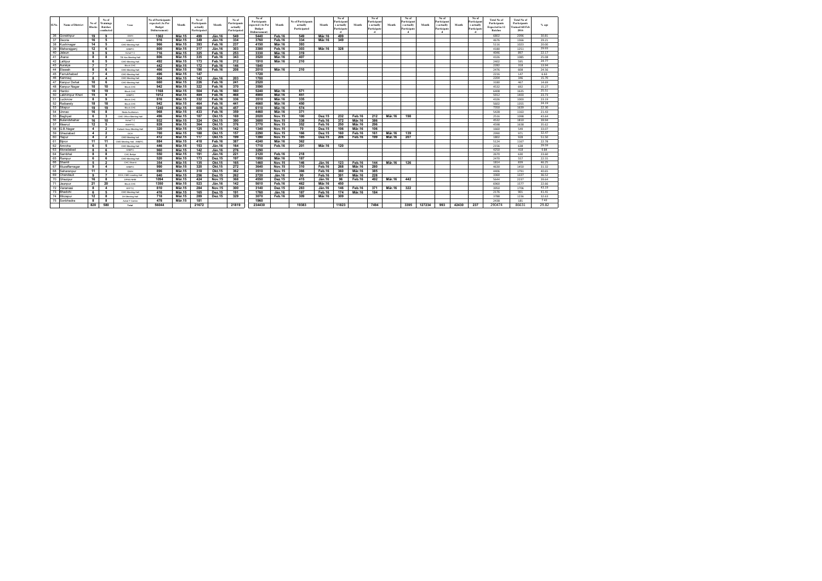| Sl.No. | <b>Name of District</b>           | No of<br><b>Blocks</b>  | No of<br><b>Trainings</b><br><b>Batches</b><br>conducteo | <b>Venue</b>                   | <b>No of Participants</b><br>expected (As Per<br><b>Budget</b><br>Disbursement) | Month                          | No of<br><b>Participants</b><br>actually<br>Participated | <b>Month</b>     | No of<br>Participants<br>actually<br>Participated | No of<br>Participants<br>expected (As Per<br><b>Budget</b><br>Disbursement | Month         | <b>No of Participants</b><br>actually<br>Participated | Month         | No of<br>Participant<br>s actually<br>Participate | Month         | No of<br>Participant<br>s actually<br>Participate | Month         | No of<br>Participan<br>s actually<br>Participate | Month  | No of<br>Participant<br>s actually<br>Participate | Month | No of<br>Participant<br>s actually<br>Participate | <b>Total No of</b><br>Participants<br><b>Expected in 12</b><br><b>Batches</b> | <b>Total No of</b><br>Participants<br><b>Trained till Feb</b><br>2016 | % age          |
|--------|-----------------------------------|-------------------------|----------------------------------------------------------|--------------------------------|---------------------------------------------------------------------------------|--------------------------------|----------------------------------------------------------|------------------|---------------------------------------------------|----------------------------------------------------------------------------|---------------|-------------------------------------------------------|---------------|---------------------------------------------------|---------------|---------------------------------------------------|---------------|--------------------------------------------------|--------|---------------------------------------------------|-------|---------------------------------------------------|-------------------------------------------------------------------------------|-----------------------------------------------------------------------|----------------|
|        | 36 Gorakhpur                      | 19                      | -9                                                       | <b>DWH</b>                     | 1362                                                                            | <b>Mär.15</b>                  | 499                                                      | Jän.16           | 549                                               | 5440                                                                       | Feb.16        | 549                                                   | <b>Mär.16</b> | 499                                               |               |                                                   |               |                                                  |        |                                                   |       |                                                   | 6802                                                                          | 2096                                                                  | 30.81          |
|        | 37 Deoria                         | 16                      | -5                                                       | <b>ANMTC</b>                   | 916                                                                             | <b>Mär.15</b>                  | 349                                                      | <b>Jän.16</b>    | 334                                               | 3760                                                                       | Feb.16        | 334                                                   | Mär.16        | 349                                               |               |                                                   |               |                                                  |        |                                                   |       |                                                   | 4676                                                                          | 1366                                                                  | 29.21          |
|        | 38 Kushinagar                     | 14                      | -5                                                       | <b>CMO Meeting Hall</b>        | 966                                                                             | <b>Mär.15</b>                  | 393                                                      | Feb.16           | 237                                               | 4150                                                                       | <b>Mär.16</b> | 393                                                   |               |                                                   |               |                                                   |               |                                                  |        |                                                   |       |                                                   | 5116                                                                          | 1023                                                                  | 20.00          |
|        | 39 Maharajgan                     | 12                      | - 6                                                      | <b>ANMTC</b>                   | 800                                                                             | <b>Mär.15</b>                  | 317                                                      | <b>Jän.16</b>    | 303                                               | 3380                                                                       | Feb.16        | 303                                                   | <b>Mär.16</b> | 328                                               |               |                                                   |               |                                                  |        |                                                   |       |                                                   | 4180                                                                          | 1251                                                                  | 29.93          |
|        | 40 Jalaur                         | 9                       | - 9                                                      | Achal T C                      | 716                                                                             | <b>Mär.15</b>                  | 325                                                      | Feb.16           | 253                                               | 3330                                                                       | <b>Mär.16</b> | 319                                                   |               |                                                   |               |                                                   |               |                                                  |        |                                                   |       |                                                   | 4046                                                                          | 897                                                                   | 22.17          |
|        | 41 Jhansi                         | 8                       |                                                          | TB Hos Meeting Hall            | 806                                                                             | <b>Mär.15</b>                  | 335                                                      | Feb.16           | 343                                               | 3520                                                                       | <b>Mär.16</b> | 407                                                   |               |                                                   |               |                                                   |               |                                                  |        |                                                   |       |                                                   | 4326                                                                          | 1085                                                                  | 25.08          |
|        | 42   Lalitpur                     | 6                       | $\overline{ }$                                           | <b>CMO Meeting Hall</b>        | 492                                                                             | <b>Mär.15</b>                  | 173                                                      | Feb.16           | 212                                               | 1910                                                                       | <b>Mär.16</b> | 210                                                   |               |                                                   |               |                                                   |               |                                                  |        |                                                   |       |                                                   | 2402                                                                          | 595                                                                   | 24.77          |
|        | 43 Auraiya                        | $\overline{7}$          |                                                          | <b>Block CHC</b>               | 442                                                                             | <b>Mär.15</b>                  | 172                                                      | Feb.16           | 146                                               | 1840                                                                       |               |                                                       |               |                                                   |               |                                                   |               |                                                  |        |                                                   |       |                                                   | 2282                                                                          | 318                                                                   | 13.94          |
|        | 44 Etawah                         | 8                       |                                                          | <b>CMO Meeting Hall</b>        | 466                                                                             | <b>Mär.15</b>                  | 190                                                      | Feb.16           | 208                                               | 2010                                                                       | <b>Mär.16</b> | 210                                                   |               |                                                   |               |                                                   |               |                                                  |        |                                                   |       |                                                   | 2476                                                                          | 608                                                                   | 24.56          |
| 45     | Farrukhabad                       | $\overline{7}$          |                                                          | <b>CMO Meeting Hall</b>        | 496                                                                             | <b>Mär.15</b>                  | 147                                                      |                  |                                                   | 1720                                                                       |               |                                                       |               |                                                   |               |                                                   |               |                                                  |        |                                                   |       |                                                   | 2216                                                                          | 147                                                                   | 6.63           |
|        | 46 Kannau                         | 8                       |                                                          | <b>CMO Meeting Hall</b>        | 504                                                                             | <b>Mär.15</b>                  | 143                                                      | <b>Jän.16</b>    | 203                                               | 1700                                                                       |               |                                                       |               |                                                   |               |                                                   |               |                                                  |        |                                                   |       |                                                   | 2204                                                                          | 346                                                                   | 15.70          |
| 47     | <b>Kanpur Dehat</b>               | 10                      | - 6                                                      | <b>CMO Meeting Hall</b>        | 660                                                                             | <b>Mär.15</b>                  | 226                                                      | Feb.16           | 241                                               | 2520<br>3590                                                               |               |                                                       |               |                                                   |               |                                                   |               |                                                  |        |                                                   |       |                                                   | 3180                                                                          | 467                                                                   | 14.69          |
|        | 48 Kanpur Nagar                   | 10                      | 10 <sub>1</sub>                                          | <b>Block CHC</b>               | 942<br>1168                                                                     | <b>Mär.15</b>                  | 322                                                      | Feb.16           | 370                                               | 5240                                                                       | <b>Mär.16</b> |                                                       |               |                                                   |               |                                                   |               |                                                  |        |                                                   |       |                                                   | 4532                                                                          | 692                                                                   | 15.27<br>25.51 |
|        | 49 Hardoi<br>50   Lakhimpur Kheri | 19<br>15                | 19<br>9                                                  | <b>Block CHC</b><br>ANMTC      | 1012                                                                            | <b>Mär.15</b><br><b>Mär.15</b> | 504<br>484                                               | Feb.16<br>Feb.16 | 560<br>468                                        | 4900                                                                       | <b>Mär.16</b> | 571<br>451                                            |               |                                                   |               |                                                   |               |                                                  |        |                                                   |       |                                                   | 6408<br>5912                                                                  | 1635                                                                  | 23.73          |
| 51     | Lucknow                           | 8                       | 9                                                        | <b>Block CHC</b>               | 816                                                                             | <b>Mär.15</b>                  | 332                                                      | Feb.16           | 336                                               | 3510                                                                       | <b>Mär.16</b> | 335                                                   |               |                                                   |               |                                                   |               |                                                  |        |                                                   |       |                                                   | 4326                                                                          | 1403<br>1003                                                          | 23.19          |
|        | 52 Raibarel                       | 18                      | 18                                                       | <b>Block CHC</b>               | 942                                                                             | <b>Mär.15</b>                  | 464                                                      | Feb.16           | 441                                               | 4660                                                                       | <b>Mär.16</b> | 450                                                   |               |                                                   |               |                                                   |               |                                                  |        |                                                   |       |                                                   | 5602                                                                          | 1355                                                                  | 24.19          |
|        | 53 Sitapur                        | 19                      | 19                                                       | <b>Block CHC</b>               | 1240                                                                            | <b>Mär.15</b>                  | 608                                                      | Feb.16           | 457                                               | 6110                                                                       | <b>Mär.16</b> | 574                                                   |               |                                                   |               |                                                   |               |                                                  |        |                                                   |       |                                                   | 7350                                                                          | 1639                                                                  | 22.30          |
|        | 54 Unnao                          | 16                      |                                                          | Nirala Auditorium              | 968                                                                             | <b>Mär.15</b>                  | 433                                                      | Feb.16           | 359                                               | 4460                                                                       | <b>Mär.16</b> | 371                                                   |               |                                                   |               |                                                   |               |                                                  |        |                                                   |       |                                                   | 5428                                                                          | 1163                                                                  | 21.43          |
|        | 55 Baghpa                         | 6                       |                                                          | <b>CMO Office Meeting Hall</b> | 496                                                                             | <b>Mär.15</b>                  | 187                                                      | <b>Okt.15</b>    | 169                                               | 2020                                                                       | <b>Nov.15</b> | 100                                                   | <b>Dez.15</b> | 232                                               | Feb.16        | 212                                               | <b>Mär.16</b> | 198                                              |        |                                                   |       |                                                   | 2516                                                                          | 1098                                                                  | 43.64          |
|        | 56 Bulandshaha                    | 16                      | 10 <sup>°</sup>                                          | Achal T C                      | 932                                                                             | <b>Mär.15</b>                  | 324                                                      | <b>Okt.15</b>    | 390                                               | 3600                                                                       | <b>Nov.15</b> | 338                                                   | Feb.16        | 372                                               | <b>Mär.16</b> | 386                                               |               |                                                  |        |                                                   |       |                                                   | 4532                                                                          | 1810                                                                  | 39.94          |
|        | 57 Meeru                          | $12 \,$                 | -5                                                       | <b>RHFPTC</b>                  | 828                                                                             | <b>Mär.15</b>                  | 364                                                      | <b>Okt.15</b>    | 376                                               | 3770                                                                       | <b>Nov.15</b> | 352                                                   | Feb.16        | 250                                               | <b>Mär.16</b> | 296                                               |               |                                                  |        |                                                   |       |                                                   | 4598                                                                          | 1638                                                                  | 35.62          |
|        | 58 G.B.Naga                       | $\overline{\mathbf{4}}$ | - 2                                                      | Kailash Hosp Meeting Hall      | 320                                                                             | <b>Mär.15</b>                  | 125                                                      | <b>Okt.15</b>    | 142                                               | 1340                                                                       | <b>Nov.15</b> | 70                                                    | <b>Dez.15</b> | 106                                               | <b>Mär.16</b> | 106                                               |               |                                                  |        |                                                   |       |                                                   | 1660                                                                          | 549                                                                   | 33.07          |
|        | 59 Ghaziabad                      | $\overline{\mathbf{4}}$ | - 2                                                      | <b>DCH</b>                     | 700                                                                             | <b>Mär.15</b>                  | 188                                                      | <b>Okt.15</b>    | 157                                               | 2290                                                                       | <b>Nov.15</b> | 166                                                   | <b>Dez.15</b> | 160                                               | Feb.16        | 161                                               | <b>Mär.16</b> | 139                                              |        |                                                   |       |                                                   | 2990                                                                          | 971                                                                   | 32.47          |
|        | 60 Hapur                          | $\overline{\mathbf{4}}$ | $\overline{\mathbf{2}}$                                  | CMO Meeting hall               | 412                                                                             | <b>Mär.15</b>                  | 117                                                      | <b>Okt.15</b>    | 199                                               | 1390                                                                       | <b>Nov.15</b> | 185                                                   | <b>Dez.15</b> | 206                                               | Feb.16        | 199                                               | <b>Mär.16</b> | 207                                              |        |                                                   |       |                                                   | 1802                                                                          | 928                                                                   | 51.50          |
|        | 61 Bijnor                         |                         | $11$   11                                                | CMO Meeting Hall, ANMTC        | 884                                                                             | <b>Mär.15</b>                  | 418                                                      | Feb.16           | 387                                               | 4240                                                                       | <b>Mär.16</b> | 362                                                   |               |                                                   |               |                                                   |               |                                                  |        |                                                   |       |                                                   | 5124                                                                          | 1167                                                                  | 22.78          |
|        | 62 Amroha                         | 6                       | 5                                                        | <b>CMO Meeting Hall</b>        | 446                                                                             | <b>Mär.15</b>                  | 153                                                      | <b>Jän.16</b>    | 164                                               | 1710                                                                       | Feb.16        | 201                                                   | Mär.16        | 120                                               |               |                                                   |               |                                                  |        |                                                   |       |                                                   | 2156                                                                          | 638                                                                   | 29.59          |
|        | 63 Moradabad                      | 8                       |                                                          | ANMTC                          | 960                                                                             | <b>Mär.15</b>                  | 142                                                      | <b>Jän.16</b>    | 276                                               | 3290                                                                       |               |                                                       |               |                                                   |               |                                                   |               |                                                  |        |                                                   |       |                                                   | 4250                                                                          | 418                                                                   | 9.84           |
|        | 64 Sambhal                        | 8                       | 8                                                        | CHC Behjoi                     | 550                                                                             | <b>Mär.15</b>                  | 191                                                      | <b>Jän.16</b>    | 221                                               | 2120                                                                       | Feb.16        | 218                                                   |               |                                                   |               |                                                   |               |                                                  |        |                                                   |       |                                                   | 2670                                                                          | 630                                                                   | 23.60          |
|        | 65 Rampur                         | 6                       | 6                                                        | <b>CMO Meeting Hall</b>        | 520                                                                             | <b>Mär.15</b>                  | 173                                                      | <b>Dez.15</b>    | 197                                               | 1950                                                                       | <b>Mär.16</b> | 187                                                   |               |                                                   |               |                                                   |               |                                                  |        |                                                   |       |                                                   | 2470                                                                          | 557                                                                   | 22.55          |
|        | 66 Shamli                         | 5                       | $\overline{\mathbf{2}}$                                  | CHC Shamli                     | 354                                                                             | <b>Mär.15</b>                  | 135                                                      | <b>Okt.15</b>    | 165                                               | 1460                                                                       | <b>Nov.15</b> | 146                                                   | <b>Jän.16</b> | 123                                               | Feb.16        | 144                                               | Mär.16        | 126                                              |        |                                                   |       |                                                   | 1814                                                                          | 839                                                                   | 46.25          |
|        | 67 Muzaffarnagar                  | 9                       |                                                          | <b>ANMTC</b>                   | 990                                                                             | <b>Mär.15</b>                  | 320                                                      | <b>Okt.15</b>    | 272                                               | 3640                                                                       | <b>Nov.15</b> | 310                                                   | Feb.16        | 268                                               | <b>Mär.16</b> | 280                                               |               |                                                  |        |                                                   |       |                                                   | 4630                                                                          | 1450                                                                  | 31.32          |
|        | 68 Saharanpur                     | 11                      | $\mathbf{3}$                                             | <b>DWH</b>                     | 896                                                                             | <b>Mär.15</b>                  | 318                                                      | <b>Okt.15</b>    | 362                                               | 3510                                                                       | <b>Nov.15</b> | 366                                                   | Feb.16        | 360                                               | <b>Mär.16</b> | 385                                               |               |                                                  |        |                                                   |       |                                                   | 4406                                                                          | 1791                                                                  | 40.65          |
|        | 69 Chandauli                      | 9                       |                                                          | DCH, CMO meeting Hall          | 640                                                                             | <b>Mär.15</b>                  | 256                                                      | <b>Dez.15</b>    | 262                                               | 2720                                                                       | <b>Jän.16</b> | 90                                                    | Feb.16        | 391                                               | <b>Mär.16</b> | 228                                               |               |                                                  |        |                                                   |       |                                                   | 3360                                                                          | 1227                                                                  | 36.52          |
|        | 70 Ghazipur                       | 16                      | 8                                                        | <b>DPMU NHM</b>                | 1094                                                                            | <b>Mär.15</b>                  | 424                                                      | <b>Nov.15</b>    | 368                                               | 4550                                                                       | <b>Dez.15</b> | 415                                                   | <b>Jän.16</b> | 96                                                | Feb.16        | 492                                               | Mär.16        | 442                                              |        |                                                   |       |                                                   | 5644                                                                          | 2237                                                                  | 39.64          |
|        | 71 Jaunpur                        | 21                      | 20                                                       | <b>Block CHC</b>               | 1350                                                                            | <b>Mär.15</b>                  | 523                                                      | <b>Jän.16</b>    | 142                                               | 5610                                                                       | Feb.16        | 462                                                   | Mär.16        | 450                                               |               |                                                   |               |                                                  |        |                                                   |       |                                                   | 6960                                                                          | 1577                                                                  | 22.66          |
|        | 72 Varanasi                       | 8                       |                                                          | <b>RFPTC</b>                   | 810                                                                             | <b>Mär.15</b>                  | 284                                                      | <b>Nov.15</b>    | 300                                               | 3140                                                                       | <b>Dez.15</b> | 283                                                   | <b>Jän.16</b> | 146                                               | Feb.16        | 371                                               | <b>Mär.16</b> | 322                                              |        |                                                   |       |                                                   | 3950                                                                          | 1706                                                                  | 43.19          |
|        | 73 Bhadohi                        | 6                       | -5                                                       | <b>CMO Meeting Hall</b>        | 416                                                                             | <b>Mär.15</b>                  | 165                                                      | <b>Dez.15</b>    | 191                                               | 1760                                                                       | <b>Jän.16</b> | 187                                                   | Feb.16        | 174                                               | Mär.16        | 184                                               |               |                                                  |        |                                                   |       |                                                   | 2176                                                                          | 901                                                                   | 41.41          |
|        | 74 Mirzapur                       | 12                      | 8                                                        | <b>DH Meeting Hall</b>         | 718                                                                             | <b>Mär.15</b>                  | 289                                                      | <b>Dez.15</b>    | 329                                               | 3070                                                                       | Feb.16        | 309                                                   | Mär.16        | 309                                               |               |                                                   |               |                                                  |        |                                                   |       |                                                   | 3788                                                                          | 1236                                                                  | 32.63          |
|        | 75 Sonbhadra                      | 8                       | 8                                                        | Achal T Centre                 | 478                                                                             | <b>Mär.15</b>                  | 181                                                      |                  |                                                   | 1960                                                                       |               |                                                       |               |                                                   |               |                                                   |               |                                                  |        |                                                   |       |                                                   | 2438                                                                          | 181                                                                   | 7.42           |
|        |                                   | 820                     | 580                                                      | Total                          | 56044                                                                           |                                | 21672                                                    |                  | 21819                                             | 234430                                                                     |               | 19383                                                 |               | 11823                                             |               | 7494                                              |               | 3395                                             | 127234 | 993                                               | 42430 | 237                                               | 290474                                                                        | 86631                                                                 | 29.82          |